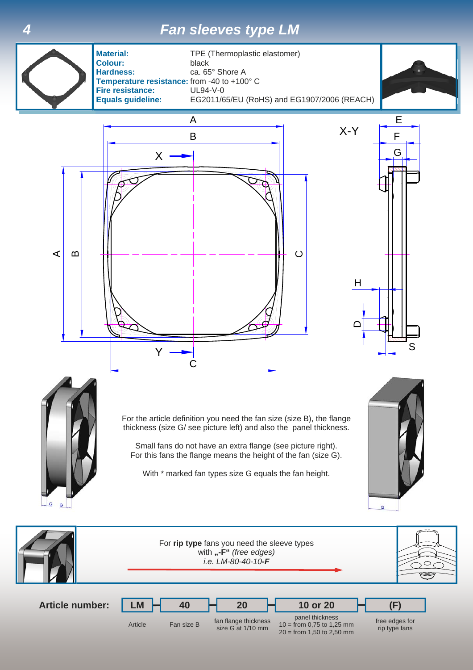## *4 Fan sleeves type LM*